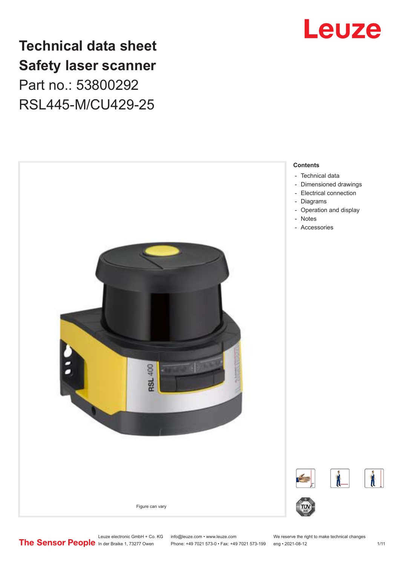

**Technical data sheet Safety laser scanner** Part no.: 53800292 RSL445-M/CU429-25



Phone: +49 7021 573-0 • Fax: +49 7021 573-199 eng • 2021-08-12

Leuze electronic GmbH + Co. KG info@leuze.com • www.leuze.com We reserve the right to make technical changes<br>
The Sensor People in der Braike 1, 73277 Owen Phone: +49 7021 573-0 • Fax: +49 7021 573-199 eng • 2021-08-12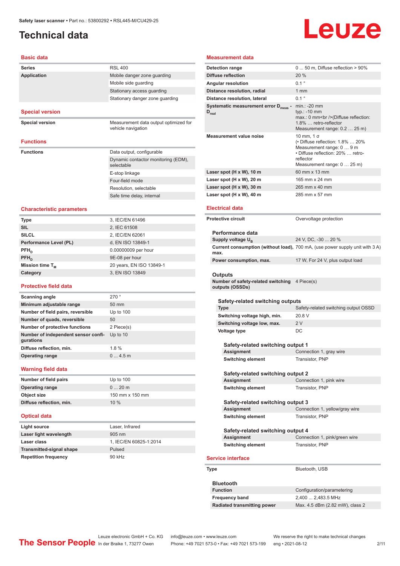# <span id="page-1-0"></span>**Technical data**

# Leuze

#### **Basic data**

| שושט טוכשכ                                       |                                                   |
|--------------------------------------------------|---------------------------------------------------|
| Series                                           | <b>RSL 400</b>                                    |
| <b>Application</b>                               | Mobile danger zone guarding                       |
|                                                  | Mobile side guarding                              |
|                                                  | Stationary access guarding                        |
|                                                  | Stationary danger zone guarding                   |
| <b>Special version</b>                           |                                                   |
| <b>Special version</b>                           | Measurement data output optimized for             |
|                                                  | vehicle navigation                                |
| <b>Functions</b>                                 |                                                   |
| <b>Functions</b>                                 | Data output, configurable                         |
|                                                  | Dynamic contactor monitoring (EDM),<br>selectable |
|                                                  | E-stop linkage                                    |
|                                                  | Four-field mode                                   |
|                                                  | Resolution, selectable                            |
|                                                  | Safe time delay, internal                         |
| <b>Characteristic parameters</b>                 |                                                   |
| <b>Type</b>                                      | 3, IEC/EN 61496                                   |
| <b>SIL</b>                                       | 2, IEC 61508                                      |
| <b>SILCL</b>                                     | 2, IEC/EN 62061                                   |
| Performance Level (PL)                           | d, EN ISO 13849-1                                 |
| $PFH_{D}$                                        | 0.00000009 per hour                               |
| PFH <sub>D</sub>                                 | 9E-08 per hour                                    |
| Mission time T <sub>M</sub>                      | 20 years, EN ISO 13849-1                          |
| Category                                         | 3, EN ISO 13849                                   |
| <b>Protective field data</b>                     |                                                   |
| <b>Scanning angle</b>                            | 270°                                              |
| Minimum adjustable range                         | 50 mm                                             |
| Number of field pairs, reversible                | Up to $100$                                       |
| Number of quads, reversible                      | 50                                                |
| <b>Number of protective functions</b>            | 2 Piece(s)                                        |
| Number of independent sensor confi-<br>gurations | Up to $10$                                        |
| Diffuse reflection, min.                         | 1.8%                                              |
| <b>Operating range</b>                           | 04.5m                                             |
| <b>Warning field data</b>                        |                                                   |
| Number of field pairs                            | Up to 100                                         |
| <b>Operating range</b>                           | $020$ m                                           |
| Object size                                      | 150 mm x 150 mm                                   |
| Diffuse reflection, min.                         | 10 %                                              |
| <b>Optical data</b>                              |                                                   |
| Light source                                     | Laser, Infrared                                   |
| Laser light wavelength                           | 905 nm                                            |
| Laser class                                      | 1, IEC/EN 60825-1:2014                            |
| <b>Transmitted-signal shape</b>                  | Pulsed                                            |
| <b>Repetition frequency</b>                      | 90 kHz                                            |

#### **Measurement data**

|  | Detection range                                                       | $050$ m, Diffuse reflection $>90\%$                                                                                                                                |
|--|-----------------------------------------------------------------------|--------------------------------------------------------------------------------------------------------------------------------------------------------------------|
|  | Diffuse reflection                                                    | 20 %                                                                                                                                                               |
|  | <b>Angular resolution</b>                                             | $0.1$ $^{\circ}$                                                                                                                                                   |
|  | Distance resolution, radial                                           | 1 <sub>mm</sub>                                                                                                                                                    |
|  | Distance resolution, lateral                                          | $0.1$ $^{\circ}$                                                                                                                                                   |
|  | Systematic measurement error D <sub>meas</sub> -<br>$D_{\text{real}}$ | $min.: -20$ mm<br>$typ.: -10$ mm<br>max.: 0 mm<br>>>>>> (Diffuse reflection:<br>1.8%  retro-reflector<br>Measurement range: 0.2  25 m)                             |
|  | <b>Measurement value noise</b>                                        | 10 mm, $1\sigma$<br>(• Diffuse reflection: 1.8%  20%<br>Measurement range: 0  9 m<br>• Diffuse reflection: 20%  retro-<br>reflector<br>Measurement range: 0  25 m) |
|  | Laser spot (H x W), 10 m                                              | 60 mm x 13 mm                                                                                                                                                      |
|  | Laser spot (H x W), 20 m                                              | 165 mm x 24 mm                                                                                                                                                     |
|  | Laser spot (H x W), 30 m                                              | 265 mm x 40 mm                                                                                                                                                     |
|  | Laser spot (H x W), 40 m                                              | 285 mm x 57 mm                                                                                                                                                     |
|  | <b>Electrical data</b>                                                |                                                                                                                                                                    |
|  | <b>Protective circuit</b>                                             | Overvoltage protection                                                                                                                                             |
|  | Performance data                                                      |                                                                                                                                                                    |
|  | Supply voltage $U_{\rm B}$                                            | 24 V, DC, -30  20 %                                                                                                                                                |
|  | max.                                                                  | Current consumption (without load), 700 mA, (use power supply unit with 3 A)                                                                                       |
|  | Power consumption, max.                                               | 17 W, For 24 V, plus output load                                                                                                                                   |
|  | Outputs                                                               |                                                                                                                                                                    |
|  | Number of safety-related switching 4 Piece(s)<br>outputs (OSSDs)      |                                                                                                                                                                    |
|  |                                                                       |                                                                                                                                                                    |
|  | Safety-related switching outputs<br><b>Type</b>                       | Safety-related switching output OSSD                                                                                                                               |
|  | Switching voltage high, min.                                          | 20.8 V                                                                                                                                                             |
|  | Switching voltage low, max.                                           | 2V                                                                                                                                                                 |
|  | Voltage type                                                          | DC                                                                                                                                                                 |
|  |                                                                       |                                                                                                                                                                    |
|  | Safety-related switching output 1                                     |                                                                                                                                                                    |
|  | Assignment                                                            | Connection 1, gray wire                                                                                                                                            |
|  | <b>Switching element</b>                                              | Transistor, PNP                                                                                                                                                    |
|  | Safety-related switching output 2                                     |                                                                                                                                                                    |
|  | <b>Assignment</b>                                                     | Connection 1, pink wire                                                                                                                                            |
|  |                                                                       |                                                                                                                                                                    |

# **Switching element** Transistor, PNP

| Safety-related switching output 3 |                                |
|-----------------------------------|--------------------------------|
| Assignment                        | Connection 1, yellow/gray wire |
| <b>Switching element</b>          | Transistor, PNP                |

| Safety-related switching output 4 |                               |
|-----------------------------------|-------------------------------|
| Assignment                        | Connection 1, pink/green wire |
| <b>Switching element</b>          | Transistor, PNP               |

#### **Service interface**

| Type | Bluetooth, USB |
|------|----------------|
|      |                |

| <b>Bluetooth</b>                   |                                 |
|------------------------------------|---------------------------------|
| <b>Function</b>                    | Configuration/parametering      |
| <b>Frequency band</b>              | 2,400  2,483.5 MHz              |
| <b>Radiated transmitting power</b> | Max. 4.5 dBm (2.82 mW), class 2 |

Leuze electronic GmbH + Co. KG info@leuze.com • www.leuze.com We reserve the right to make technical changes<br>
The Sensor People in der Braike 1, 73277 Owen Phone: +49 7021 573-0 • Fax: +49 7021 573-199 eng • 2021-08-12

Phone: +49 7021 573-0 • Fax: +49 7021 573-199 eng • 2021-08-12 2 2/11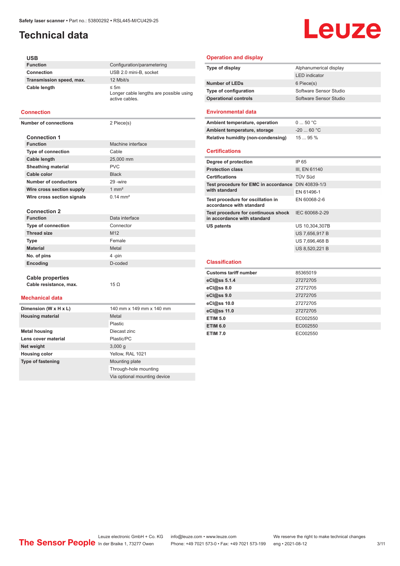# **Technical data**

# Leuze

## **USB**

| <b>Function</b>          | Configuration/parametering                                             |
|--------------------------|------------------------------------------------------------------------|
| <b>Connection</b>        | USB 2.0 mini-B, socket                                                 |
| Transmission speed, max. | 12 Mbit/s                                                              |
| Cable length             | $\leq$ 5m<br>Longer cable lengths are possible using<br>active cables. |

#### **Connection**

**Number of connections** 2 Piece(s)

| <b>Connection 1</b>        |                     |
|----------------------------|---------------------|
| <b>Function</b>            | Machine interface   |
| <b>Type of connection</b>  | Cable               |
| <b>Cable length</b>        | 25,000 mm           |
| <b>Sheathing material</b>  | <b>PVC</b>          |
| Cable color                | <b>Black</b>        |
| Number of conductors       | 29 - wire           |
| Wire cross section supply  | $1 \text{ mm}^2$    |
| Wire cross section signals | $0.14 \text{ mm}^2$ |
|                            |                     |
| <b>Connection 2</b>        |                     |
| <b>Function</b>            | Data interface      |
| <b>Type of connection</b>  | Connector           |
| Thread size                | M <sub>12</sub>     |

|                    | $\sim$ $\sim$   |
|--------------------|-----------------|
| <b>Thread size</b> | M <sub>12</sub> |
| <b>Type</b>        | Female          |
| <b>Material</b>    | Metal           |
| No. of pins        | 4-pin           |
| Encoding           | D-coded         |
|                    |                 |

#### **Cable properties Cable resistance, max.** 15 Ω

### **Mechanical data**

| Dimension (W x H x L)    | 140 mm x 149 mm x 140 mm     |
|--------------------------|------------------------------|
| <b>Housing material</b>  | Metal                        |
|                          | Plastic                      |
| <b>Metal housing</b>     | Diecast zinc                 |
| Lens cover material      | Plastic/PC                   |
| Net weight               | 3,000q                       |
| <b>Housing color</b>     | Yellow, RAL 1021             |
| <b>Type of fastening</b> | Mounting plate               |
|                          | Through-hole mounting        |
|                          | Via optional mounting device |

#### **Operation and display**

| Type of display              | Alphanumerical display |
|------------------------------|------------------------|
|                              | <b>LED</b> indicator   |
| <b>Number of LEDs</b>        | 6 Piece(s)             |
| <b>Type of configuration</b> | Software Sensor Studio |
| <b>Operational controls</b>  | Software Sensor Studio |
|                              |                        |

### **Environmental data**

| Ambient temperature, operation                                     | 050 °C         |
|--------------------------------------------------------------------|----------------|
| Ambient temperature, storage                                       | $-2060 °C$     |
| Relative humidity (non-condensing)                                 | 1595%          |
| <b>Certifications</b>                                              |                |
| Degree of protection                                               | IP 65          |
| <b>Protection class</b>                                            | III, EN 61140  |
| <b>Certifications</b>                                              | <b>TÜV Süd</b> |
| Test procedure for EMC in accordance DIN 40839-1/3                 |                |
| with standard                                                      | EN 61496-1     |
| Test procedure for oscillation in<br>accordance with standard      | EN 60068-2-6   |
| Test procedure for continuous shock<br>in accordance with standard | IEC 60068-2-29 |
| US patents                                                         | US 10,304,307B |
|                                                                    | US 7,656,917 B |
|                                                                    | US 7.696.468 B |
|                                                                    | US 8,520,221 B |
|                                                                    |                |
| <b>Classification</b>                                              |                |
| <b>Customs tariff number</b>                                       | 85365019       |
| eCl@ss 5.1.4                                                       | 27272705       |

| <b>Customs tariff number</b> | 85365019 |
|------------------------------|----------|
| eCl@ss 5.1.4                 | 27272705 |
| eCl@ss 8.0                   | 27272705 |
| eCl@ss 9.0                   | 27272705 |
| eCl@ss 10.0                  | 27272705 |
| eCl@ss 11.0                  | 27272705 |
| <b>ETIM 5.0</b>              | EC002550 |
| <b>ETIM 6.0</b>              | EC002550 |
| <b>ETIM 7.0</b>              | EC002550 |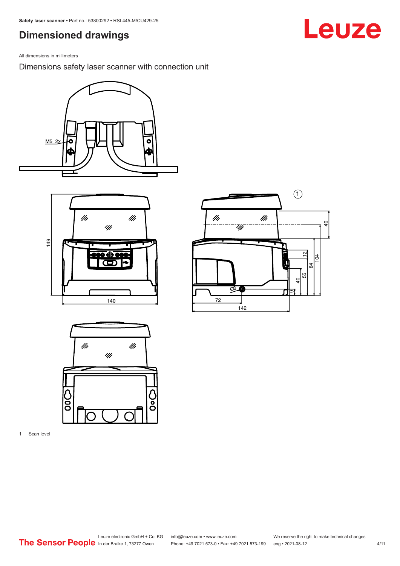# <span id="page-3-0"></span>**Dimensioned drawings**

All dimensions in millimeters

Dimensions safety laser scanner with connection unit









1 Scan level

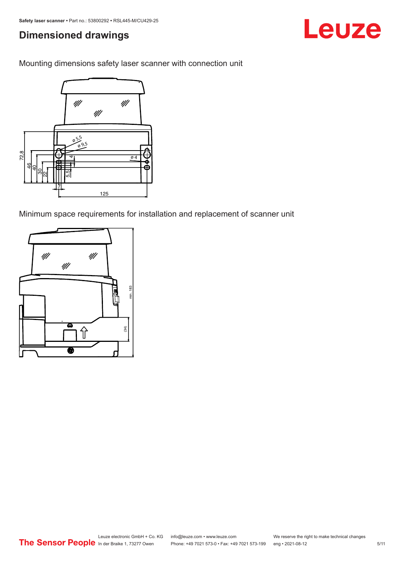# **Dimensioned drawings**

Mounting dimensions safety laser scanner with connection unit



Minimum space requirements for installation and replacement of scanner unit



Leuze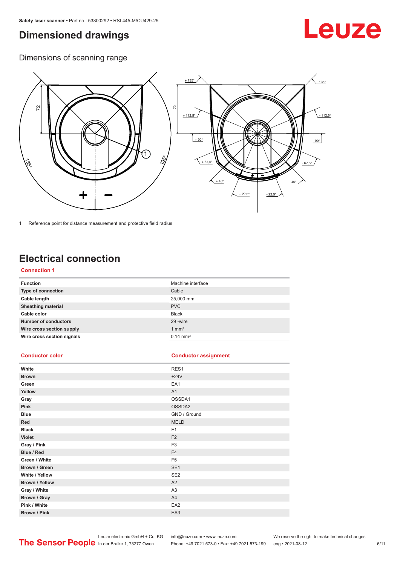# <span id="page-5-0"></span>**Dimensioned drawings**

# Leuze

Dimensions of scanning range



1 Reference point for distance measurement and protective field radius

# **Electrical connection**

### **Connection 1**

| <b>Function</b>             | Machine interface   |
|-----------------------------|---------------------|
| Type of connection          | Cable               |
| Cable length                | 25,000 mm           |
| <b>Sheathing material</b>   | <b>PVC</b>          |
| Cable color                 | <b>Black</b>        |
| <b>Number of conductors</b> | 29 - wire           |
| Wire cross section supply   | $1 \text{ mm}^2$    |
| Wire cross section signals  | $0.14 \text{ mm}^2$ |

#### **Conductor color Conductor assignment**

| White                 | RES1            |
|-----------------------|-----------------|
| <b>Brown</b>          | $+24V$          |
| Green                 | EA1             |
| Yellow                | A1              |
| Gray                  | OSSDA1          |
| <b>Pink</b>           | OSSDA2          |
| <b>Blue</b>           | GND / Ground    |
| Red                   | <b>MELD</b>     |
| <b>Black</b>          | F <sub>1</sub>  |
| <b>Violet</b>         | F <sub>2</sub>  |
| Gray / Pink           | F <sub>3</sub>  |
| Blue / Red            | F <sub>4</sub>  |
| Green / White         | F <sub>5</sub>  |
| Brown / Green         | SE <sub>1</sub> |
| White / Yellow        | SE <sub>2</sub> |
| <b>Brown / Yellow</b> | A2              |
| Gray / White          | A <sub>3</sub>  |
| Brown / Gray          | A4              |
| Pink / White          | EA <sub>2</sub> |
| Brown / Pink          | EA3             |

Leuze electronic GmbH + Co. KG info@leuze.com • www.leuze.com We reserve the right to make technical changes

In der Braike 1, 73277 Owen Phone: +49 7021 573-0 • Fax: +49 7021 573-199 eng • 2021-08-12 6 /11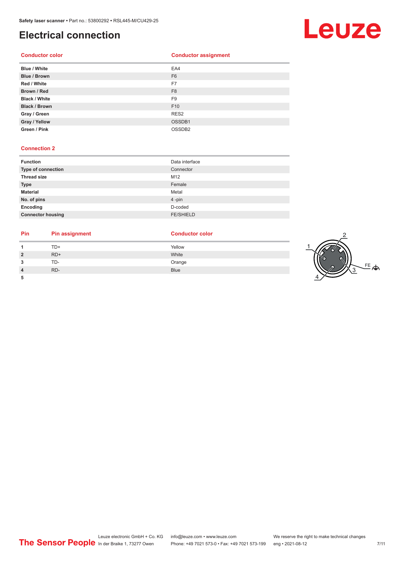# **Electrical connection**



### **Conductor color Conductor assignment**

| <b>Blue / White</b>  | EA4                |
|----------------------|--------------------|
| Blue / Brown         | F <sub>6</sub>     |
| Red / White          | F7                 |
| Brown / Red          | F <sub>8</sub>     |
| <b>Black / White</b> | F <sub>9</sub>     |
| <b>Black / Brown</b> | F10                |
| Gray / Green         | RES <sub>2</sub>   |
| Gray / Yellow        | OSSDB1             |
| Green / Pink         | OSSDB <sub>2</sub> |

#### **Connection 2**

**5**

| <b>Function</b>          | Data interface   |
|--------------------------|------------------|
| Type of connection       | Connector        |
| <b>Thread size</b>       | M <sub>12</sub>  |
| <b>Type</b>              | Female           |
| <b>Material</b>          | Metal            |
| No. of pins              | 4-pin            |
| Encoding                 | D-coded          |
| <b>Connector housing</b> | <b>FE/SHIELD</b> |

### **Pin Pin assignment Conductor Conductor Color**

| 1              | TD+   | Yellow      |
|----------------|-------|-------------|
| $\overline{2}$ | $RD+$ | White       |
| 3              | TD-   | Orange      |
| 4              | RD-   | <b>Blue</b> |
|                |       |             |

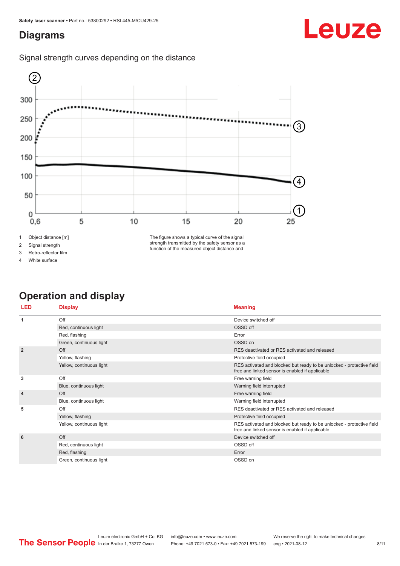# <span id="page-7-0"></span>**Diagrams**





2 Signal strength

3 Retro-reflector film

4 White surface

The figure shows a typical curve of the signal strength transmitted by the safety sensor as a function of the measured object distance and

# **Operation and display**

| <b>LED</b>     | <b>Display</b>           | <b>Meaning</b>                                                                                                           |
|----------------|--------------------------|--------------------------------------------------------------------------------------------------------------------------|
| -1             | Off                      | Device switched off                                                                                                      |
|                | Red, continuous light    | OSSD off                                                                                                                 |
|                | Red, flashing            | Error                                                                                                                    |
|                | Green, continuous light  | OSSD on                                                                                                                  |
| $\overline{2}$ | Off                      | RES deactivated or RES activated and released                                                                            |
|                | Yellow, flashing         | Protective field occupied                                                                                                |
|                | Yellow, continuous light | RES activated and blocked but ready to be unlocked - protective field<br>free and linked sensor is enabled if applicable |
| 3              | Off                      | Free warning field                                                                                                       |
|                | Blue, continuous light   | Warning field interrupted                                                                                                |
| $\overline{4}$ | Off                      | Free warning field                                                                                                       |
|                | Blue, continuous light   | Warning field interrupted                                                                                                |
| 5              | Off                      | RES deactivated or RES activated and released                                                                            |
|                | Yellow, flashing         | Protective field occupied                                                                                                |
|                | Yellow, continuous light | RES activated and blocked but ready to be unlocked - protective field<br>free and linked sensor is enabled if applicable |
| 6              | Off                      | Device switched off                                                                                                      |
|                | Red, continuous light    | OSSD off                                                                                                                 |
|                | Red, flashing            | Error                                                                                                                    |
|                | Green, continuous light  | OSSD on                                                                                                                  |

# Leuze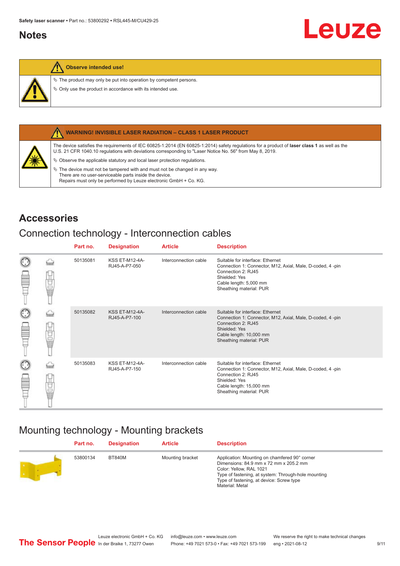# <span id="page-8-0"></span>**Notes**

#### **Observe intended use!**

 $\&$  The product may only be put into operation by competent persons.

 $\%$  Only use the product in accordance with its intended use.



#### **WARNING! INVISIBLE LASER RADIATION – CLASS 1 LASER PRODUCT**

The device satisfies the requirements of IEC 60825-1:2014 (EN 60825-1:2014) safety regulations for a product of **laser class 1** as well as the U.S. 21 CFR 1040.10 regulations with deviations corresponding to "Laser Notice No. 56" from May 8, 2019.

 $\&$  Observe the applicable statutory and local laser protection regulations.

 $\%$  The device must not be tampered with and must not be changed in any way. There are no user-serviceable parts inside the device. Repairs must only be performed by Leuze electronic GmbH + Co. KG.

## **Accessories**

## Connection technology - Interconnection cables

|                      |    | Part no. | <b>Designation</b>                     | <b>Article</b>        | <b>Description</b>                                                                                                                                                                         |
|----------------------|----|----------|----------------------------------------|-----------------------|--------------------------------------------------------------------------------------------------------------------------------------------------------------------------------------------|
| $_{\odot}$           | Ū  | 50135081 | <b>KSS ET-M12-4A-</b><br>RJ45-A-P7-050 | Interconnection cable | Suitable for interface: Ethernet<br>Connection 1: Connector, M12, Axial, Male, D-coded, 4-pin<br>Connection 2: RJ45<br>Shielded: Yes<br>Cable length: 5,000 mm<br>Sheathing material: PUR  |
| $_{\bigodot}$<br>œ   | 甘量 | 50135082 | <b>KSS ET-M12-4A-</b><br>RJ45-A-P7-100 | Interconnection cable | Suitable for interface: Ethernet<br>Connection 1: Connector, M12, Axial, Male, D-coded, 4-pin<br>Connection 2: RJ45<br>Shielded: Yes<br>Cable length: 10,000 mm<br>Sheathing material: PUR |
| $_{\mathbb{C}}$<br>œ | 甘晶 | 50135083 | <b>KSS ET-M12-4A-</b><br>RJ45-A-P7-150 | Interconnection cable | Suitable for interface: Ethernet<br>Connection 1: Connector, M12, Axial, Male, D-coded, 4-pin<br>Connection 2: RJ45<br>Shielded: Yes<br>Cable length: 15,000 mm<br>Sheathing material: PUR |

# Mounting technology - Mounting brackets

| Part no. | <b>Designation</b> | <b>Article</b>   | <b>Description</b>                                                                                                                                                                                                                       |
|----------|--------------------|------------------|------------------------------------------------------------------------------------------------------------------------------------------------------------------------------------------------------------------------------------------|
| 53800134 | <b>BT840M</b>      | Mounting bracket | Application: Mounting on chamfered 90° corner<br>Dimensions: 84.9 mm x 72 mm x 205.2 mm<br>Color: Yellow, RAL 1021<br>Type of fastening, at system: Through-hole mounting<br>Type of fastening, at device: Screw type<br>Material: Metal |

Leuze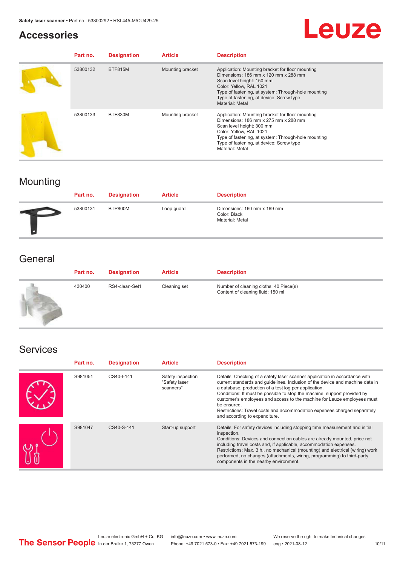## **Accessories**

# Leuze

| Part no. | <b>Designation</b> | <b>Article</b>   | <b>Description</b>                                                                                                                                                                                                                                                            |
|----------|--------------------|------------------|-------------------------------------------------------------------------------------------------------------------------------------------------------------------------------------------------------------------------------------------------------------------------------|
| 53800132 | <b>BTF815M</b>     | Mounting bracket | Application: Mounting bracket for floor mounting<br>Dimensions: 186 mm x 120 mm x 288 mm<br>Scan level height: 150 mm<br>Color: Yellow, RAL 1021<br>Type of fastening, at system: Through-hole mounting<br>Type of fastening, at device: Screw type<br><b>Material: Metal</b> |
| 53800133 | BTF830M            | Mounting bracket | Application: Mounting bracket for floor mounting<br>Dimensions: 186 mm x 275 mm x 288 mm<br>Scan level height: 300 mm<br>Color: Yellow, RAL 1021<br>Type of fastening, at system: Through-hole mounting<br>Type of fastening, at device: Screw type<br><b>Material: Metal</b> |

# Mounting

| Part no. | <b>Designation</b> | <b>Article</b> | <b>Description</b>                                             |
|----------|--------------------|----------------|----------------------------------------------------------------|
| 53800131 | BTP800M            | Loop guard     | Dimensions: 160 mm x 169 mm<br>Color: Black<br>Material: Metal |

# **General**

| Part no. | <b>Designation</b> | <b>Article</b> | <b>Description</b>                                                          |
|----------|--------------------|----------------|-----------------------------------------------------------------------------|
| 430400   | RS4-clean-Set1     | Cleaning set   | Number of cleaning cloths: 40 Piece(s)<br>Content of cleaning fluid: 150 ml |

# Services

| Part no. | <b>Designation</b> | <b>Article</b>                                  | <b>Description</b>                                                                                                                                                                                                                                                                                                                                                                                                                                                                                      |
|----------|--------------------|-------------------------------------------------|---------------------------------------------------------------------------------------------------------------------------------------------------------------------------------------------------------------------------------------------------------------------------------------------------------------------------------------------------------------------------------------------------------------------------------------------------------------------------------------------------------|
| S981051  | CS40-I-141         | Safety inspection<br>"Safety laser<br>scanners" | Details: Checking of a safety laser scanner application in accordance with<br>current standards and quidelines. Inclusion of the device and machine data in<br>a database, production of a test log per application.<br>Conditions: It must be possible to stop the machine, support provided by<br>customer's employees and access to the machine for Leuze employees must<br>be ensured.<br>Restrictions: Travel costs and accommodation expenses charged separately<br>and according to expenditure. |
| S981047  | CS40-S-141         | Start-up support                                | Details: For safety devices including stopping time measurement and initial<br>inspection.<br>Conditions: Devices and connection cables are already mounted, price not<br>including travel costs and, if applicable, accommodation expenses.<br>Restrictions: Max. 3 h., no mechanical (mounting) and electrical (wiring) work<br>performed, no changes (attachments, wiring, programming) to third-party<br>components in the nearby environment.                                                      |